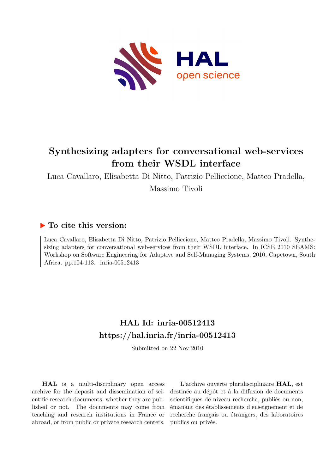

# **Synthesizing adapters for conversational web-services from their WSDL interface**

Luca Cavallaro, Elisabetta Di Nitto, Patrizio Pelliccione, Matteo Pradella, Massimo Tivoli

## **To cite this version:**

Luca Cavallaro, Elisabetta Di Nitto, Patrizio Pelliccione, Matteo Pradella, Massimo Tivoli. Synthesizing adapters for conversational web-services from their WSDL interface. In ICSE 2010 SEAMS: Workshop on Software Engineering for Adaptive and Self-Managing Systems, 2010, Capetown, South Africa. pp.104-113. inria-00512413

## **HAL Id: inria-00512413 <https://hal.inria.fr/inria-00512413>**

Submitted on 22 Nov 2010

**HAL** is a multi-disciplinary open access archive for the deposit and dissemination of scientific research documents, whether they are published or not. The documents may come from teaching and research institutions in France or abroad, or from public or private research centers.

L'archive ouverte pluridisciplinaire **HAL**, est destinée au dépôt et à la diffusion de documents scientifiques de niveau recherche, publiés ou non, émanant des établissements d'enseignement et de recherche français ou étrangers, des laboratoires publics ou privés.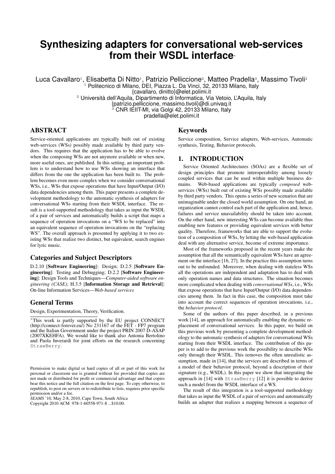## **Synthesizing adapters for conversational web-services from their WSDL interface**<sup>∗</sup>

Luca Cavallaro<sup>1</sup>, Elisabetta Di Nitto<sup>1</sup>, Patrizio Pelliccione<sup>2</sup>, Matteo Pradella<sup>3</sup>, Massimo Tivoli<sup>2</sup> <sup>1</sup> Politecnico di Milano, DEI, Piazza L. Da Vinci, 32, 20133 Milano, Italy

{cavallaro, dinitto}@elet.polimi.it

<sup>2</sup> Università dell'Aquila, Dipartimento di Informatica, Via Vetoio, L'Aquila, Italy

{patrizio.pelliccione, massimo.tivoli}@di.univaq.it

CNR IEIIT-MI, via Golgi 42, 20133 Milano, Italy

pradella@elet.polimi.it

## ABSTRACT

Service-oriented applications are typically built out of existing web-services (WSs) possibly made available by third party vendors. This requires that the application has to be able to evolve when the composing WSs are not anymore available or when new, more useful ones, are published. In this setting, an important problem is to understand how to use WSs showing an interface that differs from the one the application has been built to. The problem becomes even more complex when we consider conversational WSs, i.e., WSs that expose operations that have Input/Output (I/O) data dependencies among them. This paper presents a complete development methodology to the automatic synthesis of adapters for conversational WSs starting from their WSDL interface. The result is a tool-supported methodology that takes as input the WSDL of a pair of services and automatically builds a script that maps a sequence of operation invocations on a "WS to be replaced" into an equivalent sequence of operation invocations on the "replacing WS". The overall approach is presented by applying it to two existing WSs that realize two distinct, but equivalent, search engines for lyric music.

#### Categories and Subject Descriptors

D.2.10 [Software Engineering]: Design; D.2.5 [Software Engineering]: Testing and Debugging; D.2.2 [Software Engineering]: Design Tools and Techniques—*Computer-aided software engineering (CASE)*; H.3.5 [Information Storage and Retrieval]: On-line Information Services—*Web-based services*

### General Terms

Design, Experimentation, Theory, Verification.

*SEAMS* '10, May 2-8, 2010, Cape Town, South Africa Copyright 2010 ACM 978-1-60558-971-8 ...\$10.00.

#### Keywords

Service composition, Service adapters, Web-services, Automatic synthesis, Testing, Behavior protocols.

#### 1. INTRODUCTION

Service Oriented Architectures (SOAs) are a flexible set of design principles that promote interoperability among loosely coupled services that can be used within multiple business domains. Web-based applications are typically *composed* webservices (WSs) built out of existing WSs possibly made available by third party vendors. This opens a series of new scenarios that are unimaginable under the closed world assumption. On one hand, an organization cannot control each part of the application and, hence, failures and service unavailability should be taken into account. On the other hand, new interesting WSs can become available thus enabling new features or providing equivalent services with better quality. Therefore, frameworks that are able to support the evolution of a composition of WSs, by letting the web-based application deal with any alternative service, become of extreme importance.

Most of the frameworks proposed in the recent years make the assumption that all the semantically equivalent WSs have an agreement on the interface [16, 27]. In the practice this assumption turns out to be unfounded. Moreover, when dealing with stateless WSs all the operations are independent and adaptation has to deal with only operation names and data structures. The situation becomes more complicated when dealing with *conversational WSs*, i.e., WSs that expose operations that have Input/Output (I/O) data dependencies among them. In fact in this case, the composition must take into account the correct sequences of operation invocations, i.e., the *behavior protocol*.

Some of the authors of this paper described, in a previous work [14], an approach for automatically enabling the dynamic replacement of conversational services. In this paper, we build on this previous work by presenting a complete development methodology to the automatic synthesis of adapters for conversational WSs starting from their WSDL interface. The contribution of this paper is to add to the previous work the possibility to describe WSs only through their WSDL. This removes the often unrealistic assumption, made in [14], that the services are described in terms of a model of their behavior protocol, beyond a description of their signature (e.g., WSDL). In this paper we show that integrating the approach in [14] with StrawBerry [12] it is possible to derive such a model from the WSDL interface of a WS.

The result of this integration is a tool-supported methodology that takes as input the WSDL of a pair of services and automatically builds an adapter that realizes a mapping between a sequence of

<sup>∗</sup>This work is partly supported by the EU project CONNECT  $(\text{http://connect-forever.eu/})$  No 231167 of the FET - FP7 program and the Italian Government under the project PRIN 2007 D-ASAP (2007XKEHFA). We would like to thank also Antonia Bertolino and Paola Inverardi for joint efforts on the research concerning StrawBerry.

Permission to make digital or hard copies of all or part of this work for personal or classroom use is granted without fee provided that copies are not made or distributed for profit or commercial advantage and that copies bear this notice and the full citation on the first page. To copy otherwise, to republish, to post on servers or to redistribute to lists, requires prior specific permission and/or a fee.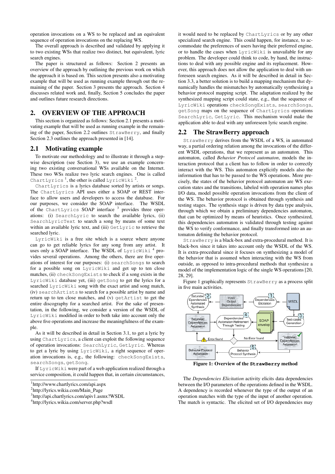operation invocations on a WS to be replaced and an equivalent sequence of operation invocations on the replacing WS.

The overall approach is described and validated by applying it to two existing WSs that realize two distinct, but equivalent, lyric search engines.

The paper is structured as follows: Section 2 presents an overview of the approach by outlining the previous work on which the approach it is based on. This section presents also a motivating example that will be used as running example through out the remaining of the paper. Section 3 presents the approach. Section 4 discusses related work and, finally, Section 5 concludes the paper and outlines future research directions.

## 2. OVERVIEW OF THE APPROACH

This section is organized as follows: Section 2.1 presents a motivating example that will be used as running example in the remaining of the paper, Section 2.2 outlines StrawBerry, and finally Section 2.3 outlines the approach presented in [14].

#### 2.1 Motivating example

To motivate our methodology and to illustrate it through a stepwise description (see Section 3), we use an example concerning two existing conversational WSs available on the Internet. These two WSs realize two lyric search engines. One is called ChartLyrics<sup>1</sup>, the other is called LyricWiki<sup>2</sup>.

ChartLyrics is a lyrics database sorted by artists or songs. The ChartLyrics API uses either a SOAP or REST interface to allow users and developers to access the database. For our purposes, we consider the SOAP interface. The WSDL of the ChartLyrics SOAP interface<sup>3</sup> provides three operations: (i) SearchLyric to search the available lyrics, (ii) SearchLyricText to search a song by means of some text within an available lyric text, and (iii) GetLyric to retrieve the searched lyric.

LyricWiki is a free site which is a source where anyone can go to get reliable lyrics for any song from any artist. It uses only a SOAP interface. The WSDL of  ${\tt LyricWiki}^4$  provides several operations. Among the others, there are five operations of interest for our purposes: (i) searchSongs to search for a possible song on LyricWiki and get up to ten close matches, (ii) checkSongExists to check if a song exists in the LyricWiki database yet, (iii) getSong to get the lyrics for a searched LyricWiki song with the exact artist and song match, (iv) searchArtists to search for a possible artist by name and return up to ten close matches, and (v) getArtist to get the entire discography for a searched artist. For the sake of presentation, in the following, we consider a version of the WSDL of LyricWiki modified in order to both take into account only the above five operations and increase the meaningfulness of the example.

As it will be described in detail in Section 3.1, to get a lyric by using ChartLyrics, a client can exploit the following sequence of operation invocations: SearchLyric, GetLyric. Whereas to get a lyric by using LyricWiki, a right sequence of operation invocations is, e.g., the following: checkSongExists, searchSongs, getSong.

If LyricWiki were part of a web application realized through a service composition, it could happen that, in certain circumstances,

it would need to be replaced by ChartLyrics or by any other specialized search engine. This could happen, for instance, to accommodate the preferences of users having their preferred engine, or to handle the cases when LyricWiki is unavailable for any problem. The developer could think to code, by hand, the instructions to deal with any possible engine and its replacement. However, this approach does not allow the application to deal with unforeseen search engines. As it will be described in detail in Section 3.3, a better solution is to build a mapping mechanism that dynamically handles the mismatches by automatically synthesizing a behavior protocol mapping script. The adaptation realized by the synthesized mapping script could state, e.g., that the sequence of LyricWiki operations checkSongExists, searchSongs, getSong maps on the sequence of ChartLyrics operations SearchLyric, GetLyric. This mechanism would make the application able to deal with any unforeseen lyric search engine.

#### 2.2 The StrawBerry approach

StrawBerry derives from the WSDL of a WS, in automated way, a partial ordering relation among the invocations of the different WSDL operations, that we represent as an automaton. This automaton, called *Behavior Protocol automaton*, models the interaction protocol that a client has to follow in order to correctly interact with the WS. This automaton explicitly models also the information that has to be passed to the WS operations. More precisely, the states of the behavior protocol automaton are WS execution states and the transitions, labeled with operation names plus I/O data, model possible operation invocations from the client of the WS. The behavior protocol is obtained through synthesis and testing stages. The synthesis stage is driven by data type analysis, through which we obtain a preliminary dependencies automaton, that can be optimized by means of heuristics. Once synthesized, this dependencies automaton is validated through testing against the WS to verify conformance, and finally transformed into an automaton defining the behavior protocol.

StrawBerry is a black-box and extra-procedural method. It is black-box since it takes into account only the WSDL of the WS. It is extra-procedural since it focuses on synthesizing a model of the behavior that is assumed when interacting with the WS from outside, as opposed to intra-procedural methods that synthesize a model of the implementation logic of the single WS operations [20, 28, 29].

Figure 1 graphically represents StrawBerry as a process split in five main activities.



Figure 1: Overview of the **StrawBerry** method

The *Dependencies Elicitation* activity elicits data dependencies between the I/O parameters of the operations defined in the WSDL. A dependency is recorded whenever the type of the output of an operation matches with the type of the input of another operation. The match is syntactic. The elicited set of I/O dependencies may

<sup>1</sup> http://www.chartlyrics.com/api.aspx

<sup>2</sup> http://lyrics.wikia.com/Main\_Page

<sup>3</sup> http://api.chartlyrics.com/apiv1.asmx?WSDL

<sup>4</sup> http://lyrics.wikia.com/server.php?wsdl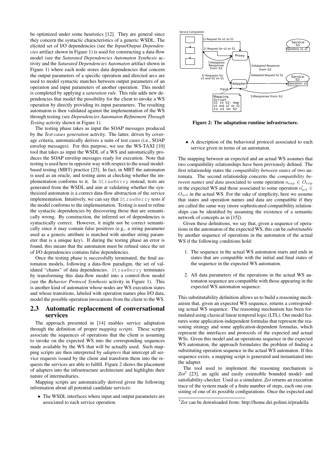be optimized under some heuristics [12]. They are general since they concern the syntactic characteristics of a generic WSDL. The elicited set of I/O dependencies (see the *Input/Output Dependencies* artifact shown in Figure 1) is used for constructing a data-flow model (see the *Saturated Dependencies Automaton Synthesis* activity and the *Saturated Dependencies Automaton* artifact shown in Figure 1) where each node stores data dependencies that concern the output parameters of a specific operation and directed arcs are used to model syntactic matches between output parameters of an operation and input parameters of another operation. This model is completed by applying a *saturation rule*. This rule adds new dependencies that model the possibility for the client to invoke a WS operation by directly providing its input parameters. The resulting automaton is then validated against the implementation of the WS through testing (see *Dependencies Automaton Refinement Through Testing* activity shown in Figure 1).

The testing phase takes as input the SOAP messages produced by the *Test-cases generation* activity. The latter, driven by coverage criteria, automatically derives a suite of test cases (i.e., SOAP envelop messages). For this purpose, we use the WS-TAXI [10] tool that takes as input the WSDL of a WS and automatically produces the SOAP envelop messages ready for execution. Note that testing is used here in opposite way with respect to the usual modelbased testing (MBT) practice [25]. In fact, in MBT the automaton is used as an oracle, and testing aims at checking whether the implementation conforms to it. In StrawBerry instead, tests are generated from the WSDL and aim at validating whether the synthesized automaton is a correct data-flow abstraction of the service implementation. Intuitively, we can say that StrawBerry tests if the model conforms to the implementation. Testing is used to refine the syntactic dependencies by discovering those that are semantically wrong. By construction, the inferred set of dependencies is syntactically correct. However, it might not be correct semantically since it may contain false positives (e.g., a string parameter used as a generic attribute is matched with another string parameter that is a unique key). If during the testing phase an error is found, this means that the automaton must be refined since the set of I/O dependencies contains false dependencies.

Once the testing phase is successfully terminated, the final automaton models, following a data-flow paradigm, the set of validated "chains" of data dependencies. StrawBerry terminates by transforming this data-flow model into a control-flow model (see the *Behavior Protocol Synthesis* activity in Figure 1). This is another kind of automaton whose nodes are WS execution states and whose transitions, labeled with operation names plus I/O data, model the possible operation invocations from the client to the WS.

#### 2.3 Automatic replacement of conversational services

The approach presented in [14] enables service adaptation through the definition of proper *mapping scripts*. These scripts associate the sequences of operations that the client is assuming to invoke on the expected WS into the corresponding sequences made available by the WS that will be actually used. Such mapping scripts are then interpreted by *adapters* that intercept all service requests issued by the client and transform them into the requests the services are able to fulfill. Figure 2 shows the placement of adapters into the infrastructure architecture and highlights their nature of intermediaries.

Mapping scripts are automatically derived given the following information about all potential candidate services:

• The WSDL interfaces where input and output parameters are associated to each service operation.



Figure 2: The adaptation runtime infrastructure.

• A description of the behavioral protocol associated to each service given in terms of an automaton.

The mapping between an expected and an actual WS assumes that two compatibility relationships have been previously defined. The first relationship states the *compatibility between states* of two automata. The second relationship concerns the *compatibility between names and data* associated to some operation  $o_{exp} \in O_{exp}$ in the expected WS and those associated to some operation  $o'_{act} \in$  $O_{act}$  in the actual WS. For the sake of simplicity, here we assume that states and operation names and data are compatible if they are called the same way (more sophisticated compatibility relationships can be identified by assuming the existence of a semantic network of concepts as in [15]).

Given these definitions, we say that, given a sequence of operations in the automaton of the expected WS, this can be *substitutable* by another sequence of operations in the automaton of the actual WS if the following conditions hold:

- 1. The sequence in the actual WS automaton starts and ends in states that are compatible with the initial and final states of the sequence in the expected WS automaton.
- 2. All data parameters of the operations in the actual WS automaton sequence are compatible with those appearing in the expected WS automaton sequence.

This substitutability definition allows us to build a reasoning mechanism that, given an expected WS sequence, returns a corresponding actual WS sequence. The reasoning mechanism has been formulated using classical linear temporal logic (LTL). Our model features some application-independent formulas that represent the reasoning strategy and some application-dependent formulas, which represent the interfaces and protocols of the expected and actual WSs. Given this model and an operations sequence in the expected WS automaton, the approach formulates the problem of finding a substituting operation sequence in the actual WS automaton. If this sequence exists, a mapping script is generated and instantiated into the adapter.

The tool used to implement the reasoning mechanism is Zot<sup>5</sup> [23], an agile and easily extensible bounded model- and satisfiability-checker. Used as a simulator, *Zot* returns an execution trace of the system made of a finite number of steps, each one consisting of one of its possible configurations. Once the expected and

<sup>5</sup> *Zot* can be downloaded from: http://home.dei.polimi.it/pradella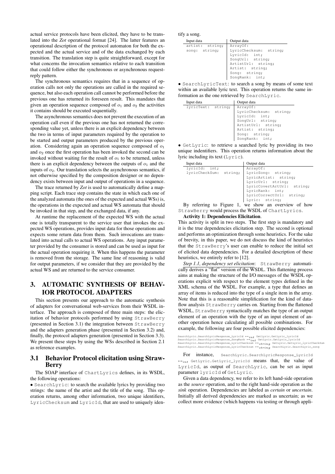actual service protocols have been elicited, they have to be translated into the *Zot* operational format [24]. The latter features an operational description of the protocol automaton for both the expected and the actual service and of the data exchanged by each transition. The translation step is quite straightforward, except for what concerns the invocation semantics relative to each transition that could follow either the synchronous or asynchronous requestreply pattern.

The synchronous semantics requires that in a sequence of operation calls not only the operations are called in the required sequence, but also each operation call cannot be performed before the previous one has returned its foreseen result. This mandates that given an operation sequence composed of  $o_1$  and  $o_2$  the activities it contains should be executed sequentially.

The asynchronous semantics does not prevent the execution of an operation call even if the previous one has not returned the corresponding value yet, unless there is an explicit dependency between the two in terms of input parameters required by the operation to be started and output parameters produced by the previous operation. Considering again an operation sequence composed of  $o_1$ and  $o_2$  once the first operation has been invoked the second can be invoked without waiting for the result of  $o_1$  to be returned, unless there is an explicit dependency between the outputs of  $o_1$  and the inputs of  $o_2$ . Our translation selects the asynchronous semantics, if not otherwise specified by the composition designer or no dependency exists between input and output of operations in a sequence.

The trace returned by *Zot* is used to automatically define a mapping script. Each trace step contains the state in which each one of the analyzed automata (the ones of the expected and actual WSs) is, the operations in the expected and actual WS automata that should be invoked in that step, and the exchanged data, if any.

At runtime the replacement of the expected WS with the actual one is totally transparent to the service user that invokes the expected WS operations, provides input data for those operations and expects some return data from them. Such invocations are translated into actual calls to actual WS operations. Any input parameter provided by the consumer is stored and can be used as input for the actual operation requiring it. When this happens the parameter is removed from the storage. The same line of reasoning is valid for output parameters, if we consider that they are provided by the actual WS and are returned to the service consumer.

## 3. AUTOMATIC SYNTHESIS OF BEHAV-IOR PROTOCOL ADAPTERS

This section presents our approach to the automatic synthesis of adapters for conversational web-services from their WSDL interface. The approach is composed of three main steps: the elicitation of behavior protocols performed by using StrawBerry (presented in Section 3.1) the integration between StrawBerry and the adapters generation phase (presented in Section 3.2) and, finally, the protocol adapters generation (presented in Section 3.3). We present these steps by using the WSs described in Section 2.1 as reference examples.

#### 3.1 Behavior Protocol elicitation using Straw-Berry

The SOAP interface of ChartLyrics defines, in its WSDL, the following operations:

• SearchLyric: to search the available lyrics by providing two strings: the name of the artist and the title of the song. This operation returns, among other information, two unique identifiers, LyricChecksum and LyricId, that are used to uniquely identify a song.

| Input data      | Output data            |
|-----------------|------------------------|
| artist: string; | ArrayOf:               |
| song: string;   | LyricChecksum: string; |
|                 | LyricId: int;          |
|                 | SongUrl: string;       |
|                 | ArtistUrl: string;     |
|                 | Artist: string;        |
|                 | Song: string;          |
|                 | SongRank: int;         |
|                 |                        |

• SearchLyricText: to search a song by means of some text within an available lyric text. This operation returns the same information as the one retrieved by SearchLyric.

| Input data         | Output data                                                                                                                                         |
|--------------------|-----------------------------------------------------------------------------------------------------------------------------------------------------|
| lyricText: string; | ArrayOf:<br>LyricChecksum: string;<br>LyricId: int;<br>SongUrl: string;<br>ArtistUrl: string;<br>Artist: string;<br>Song: string;<br>SongRank: int; |
|                    |                                                                                                                                                     |

• GetLyric: to retrieve a searched lyric by providing its two unique indentifiers. This operation returns information about the lyric including its text (Lyric).

| Input data             | Output data                |
|------------------------|----------------------------|
| lyricId: int;          | ArrayOf:                   |
| lyricCheckSum: string; | LyricSong: string;         |
|                        | LyricArtist: string;       |
|                        | LyricUrl: string;          |
|                        | LyricCovertArtUrl: string; |
|                        | LyricRank: int;            |
|                        | LyricCorrectUrl: string;   |
|                        | Lyric: string;             |
|                        |                            |

By referring to Figure 1, we show an overview of how StrawBerry would process the WSDL of ChartLyrics.

#### Activity 1: Dependencies Elicitation.

This activity is split in two steps. The first step is mandatory and it is the true dependencies elicitation step. The second is optional and performs an optimization through some heuristics. For the sake of brevity, in this paper, we do not discuss the kind of heuristics that the StrawBerry's user can enable to reduce the initial set of elicited data dependencies. For a detailed description of these heuristics, we entirely refer to [12].

*Step 1.1, dependency set elicitation*: StrawBerry automatically derives a "flat" version of the WSDL. This flattening process aims at making the structure of the I/O messages of the WSDL operations explicit with respect to the element types defined in the XML schema of the WSDL. For example, a type that defines an array of items is reduced into the type of a single item in the array. Note that this is a reasonable simplification for the kind of dataflow analysis StrawBerry carries on. Starting from the flattened WSDL, StrawBerry syntactically matches the type of an output element of an operation with the type of an input element of another operation hence calculating all possible combinations. For example, the following are four possible elicited dependencies:

 $\texttt{SearchLypic}.SearchLypicResponse\_Lypic1G \rightarrow int \texttt{GetLypic}.GetLypic1G \rightarrow \texttt{SearchLypic1G} \rightarrow \texttt{Set} \rightarrow \texttt{CFLypic1G} \rightarrow \texttt{Set} \rightarrow \texttt{CFLypic1G} \rightarrow \texttt{Set} \rightarrow \texttt{CFLypic1G} \rightarrow \texttt{Set} \rightarrow \texttt{Set} \rightarrow \texttt{Set} \rightarrow \texttt{Set} \rightarrow \texttt{Set} \rightarrow \texttt{Set} \rightarrow \texttt{Set} \rightarrow \texttt{Set} \rightarrow \texttt{Set} \rightarrow \texttt{Set} \rightarrow \texttt{Set} \rightarrow \texttt{Set} \rightarrow \texttt{Set} \rightarrow$ 

For instance, SearchLyric.SearchLyricResponse\_LyricId  $\mapsto_{int}$  GetLyric.GetLyric\_lyricId means that, the value of LyricId, as output of SearchLyric, can be set as input parameter lyricId of GetLyric.

Given a data dependency, we refer to its left hand-side operation as the *source* operation, and to the right hand-side operation as the *sink* operation. Dependencies are labeled as *certain* or *uncertain*. Initially all derived dependencies are marked as uncertain; as we collect more evidence (which happens via testing or through appli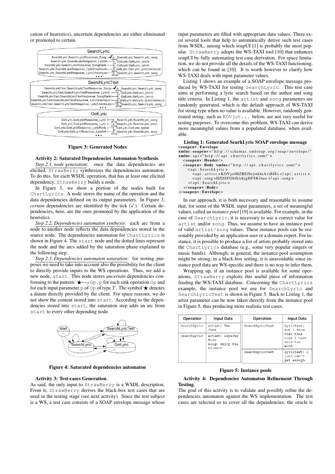cation of heuristics), uncertain dependencies are either eliminated or promoted to certain.

| SearchLyric                                                                                                                                                                                                                                                                                                                                                                                                                                                     |
|-----------------------------------------------------------------------------------------------------------------------------------------------------------------------------------------------------------------------------------------------------------------------------------------------------------------------------------------------------------------------------------------------------------------------------------------------------------------|
| SearchLyric.SearchLyricResponse_Song<br>SearchLyric.SearchLyric song<br>SearchLyric.SearchLyricResponse Lyricld H<br>GetLyric.GetLyric lyricId<br>SearchLyric.SearchLyricResponse SongRank  <br>GetLyric.GetLyric lyricld<br>SearchLyric.SearchLyricResponse LyricChecksum H<br>GetLyric.GetLyric_lyricChecksum<br>sfring<br>SearchLyric.SearchLyric_song<br>SearchLyric.SearchLyricResponse LyricChecksum F                                                    |
| SearchLyricText                                                                                                                                                                                                                                                                                                                                                                                                                                                 |
| SearchLyricText.SearchLyricTextResponse Song I-<br>SearchLyric.SearchLyric song<br>string<br>SearchLyricText.SearchLyricTextResponse LyricId<br>GetLyric.GetLyric lyricId<br>SearchLyricText.SearchLyricTextResponse SongRank+<br>GetLyric.GetLyric lyricld<br>SearchLyricText.SearchLyricTextResponse LyricChecksum  <br>GetLyric.GetLyric lyricChecksum<br>SearchLyricText.SearchLyricTextResponse LyricChecksum H<br>'SearchLyric.SearchLyric_song<br>strina |
| GetLyric                                                                                                                                                                                                                                                                                                                                                                                                                                                        |
| GetLyric.GetLyricResponse Lyric I<br>SearchLyric.SearchLyric song<br>→<br>strina<br>GetLyric.GetLyricResponse Lyric<br>SearchLyric.SearchLyric artist<br>string<br>GetLyric GetLyric IvricId<br>GetLyric.GetLyricResponse LyricRank                                                                                                                                                                                                                             |

Figure 3: Generated Nodes

GetLyric.GetLyricResponse\_LyricUrl | and SearchLyric.SearchLyric\_song

#### Activity 2: Saturated Dependencies Automaton Synthesis.

*Step 2.1, node generation*: once the data dependencies are elicited, StrawBerry synthesizes the dependencies automaton. To do this, for each WSDL operation, that has at least one elicited dependency, StrawBerry builds a node.

In Figure 3, we show a portion of the nodes built for ChartLyrics. A node stores the name of the operation and the data dependencies defined on its output parameters. In Figure 3, *certain* dependencies are identified by the tick  $(\checkmark)$ . Certain dependencies, here, are the ones promoted by the application of the heuristics.

*Step 2.2, Dependencies automaton synthesis*: each arc from a node to another node reflects the data dependencies stored in the source node. The dependencies automaton for ChartLyrics is shown in Figure 4. The start node and the dotted lines represent the node and the arcs added by the saturation phase explained in the following step.

*Step 2.3, Dependencies automaton saturation*: for testing purposes we need to take into account also the possibility for the client to directly provide inputs to the WS operations. Thus, we add a new node, start. This node stores *uncertain* dependencies conforming to the pattern:  $\bigstar \mapsto_T \circ p$ . p for each sink operation  $\circ p$  and for each input parameter  $p$  of  $Op$  of type  $T$ . The symbol  $\bigstar$  denotes a datum directly provided by the client. For space reasons, we do not show the content stored into start. According to the dependencies stored into start, the saturation step adds an arc from start to every other depending node.



Figure 4: Saturated dependencies automaton

#### Activity 3: Test-cases Generation.

As said, the only input to StrawBerry is a WSDL description. From it, StrawBerry derives the black-box test cases that are used in the testing stage (see next activity). Since the test subject is a WS, a test case consists of a SOAP envelope message whose

input parameters are filled with appropriate data values. There exist several tools that help to automatically derive such test cases from WSDL, among which soapUI [1] is probably the most popular. StrawBerry adopts the WS-TAXI tool [10] that enhances soapUI by fully automating test case derivation. For space limitation, we do not provide all the details of the WS-TAXI functioning, which can be found in [10]. It is worth however to clarify how WS-TAXI deals with input parameter values.

Listing 1 shows an example of a SOAP envelope message produced by WS-TAXI for testing SearchLyric. This test case aims at performing a lyric search based on the author and song title criteria. In Listing 1, the artist and song parameters are randomly generated, which is the default approach of WS-TAXI for string type when no value is available. However, randomly generated string, such as KOVjot... below, are not very useful for testing purposes. To overcome this problem, WS-TAXI can derive more meaningful values from a populated database, when available.

#### Listing 1: Generated SearhLyric SOAP envelope message <soapenv : Envelope

| $xmlns:soapenv = "http://schemas.xmlsoap.org/soap/envelope/"$     |
|-------------------------------------------------------------------|
| $xmlns: api="http://api.chartlyrics.com/~)$                       |
| $<$ soapenv: Header/>                                             |
| <soapenv:body xmlns="http://api.chartlyrics.com/"></soapenv:body> |
| $\langle$ api: SearchLyric >                                      |
| <api: artist="">KOVjotMZBEfbeynkhtAviBIEs </api:>                 |
| <api:song>HJDSFGhfklskjgHFSKJnee </api:song>                      |
| $\langle$ api: SearchLyric >                                      |
| $\langle$ /soapenv:Body>                                          |
| $\langle$ /soapenv: Envelope>                                     |
|                                                                   |

In our approach, it is both necessary and reasonable to assume that, for some of the WSDL input parameters, a set of meaningful values, called an *instance pool* [19] is available. For example, in the case of SearchLyric, it is necessary to use a correct value for artist and/or song. Thus, we assume to have an instance pool of valid artist/song values. These instance pools can be reasonably provided by an application user or a domain expert. For instance, it is possible to produce a list of artists probably stored into the ChartLyrics database (e.g., some very popular singers or music bands). Although, in general, the instance pool assumption might be strong, in a black-box setting, it is unavoidable since instance pool data are WS-specific and there is no way to infer them.

Wrapping up, if an instance pool is available for some operations, StrawBerry exploits this useful piece of information feeding the WS-TAXI database. Concerning the ChartLyrics example, the instance pool we use for SearchLyric and SearchLyricText is shown in Figure 5. Back to Listing 1, the artist parameter can be now taken directly from the instance pool in Figure 5, thus producing more realistic test cases.

| Operation   | Input Data                                            | Operation       | <b>Input Data</b>                            |
|-------------|-------------------------------------------------------|-----------------|----------------------------------------------|
| SearchLyric | artist: The<br>Cure                                   | SearchLyricText | lyricText:<br>But. T. know                   |
| SearchLyric | artist: Depeche<br>Mode<br>song: Enjoy the<br>Silence |                 | that this<br>time I have<br>said too<br>much |
|             |                                                       | SearchLyricText | lyricText: I<br>just can't<br>get enough     |

Figure 5: Instance pools

#### Activity 4: Dependencies Automaton Refinement Through Testing.

The goal of this activity is to validate and possibly refine the dependencies automaton against the WS implementation. The test cases are selected so to cover all the dependencies; the oracle is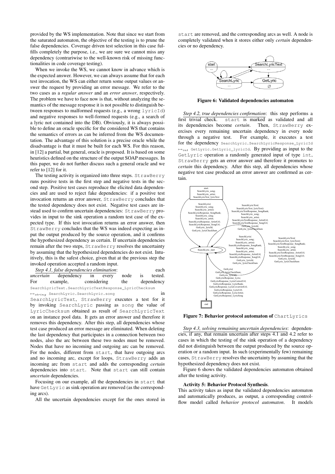provided by the WS implementation. Note that since we start from the saturated automaton, the objective of the testing is to prune the false dependencies. Coverage driven test selection in this case fulfills completely the purpose, i.e., we are sure we cannot miss any dependency (contrariwise to the well-known risk of missing functionalities in code coverage testing).

When we invoke the WS, we cannot know in advance which is the expected answer. However, we can always assume that for each test invocation, the WS can either return some output values or answer the request by providing an error message. We refer to the two cases as a *regular answer* and an *error answer*, respectively. The problem we have to face now is that, without analyzing the semantics of the message response it is not possible to distinguish between responses to malformed requests (e.g., a wrong lyricId) and negative responses to well-formed requests (e.g., a search of a lyric not contained into the DB). Obviously, it is always possible to define an oracle specific for the considered WS that contains the semantics of errors as can be inferred from the WS documentation. The advantage of this solution is a precise oracle while the disadvantage is that it must be built for each WS. For this reason, in [12] a partial, but general, oracle is proposed. It is based on some heuristics defined on the structure of the output SOAP messages. In this paper, we do not further discuss such a general oracle and we refer to [12] for it.

The testing activity is organized into three steps. StrawBerry runs positive tests in the first step and negative tests in the second step. Positive test cases reproduce the elicited data dependencies and are used to reject fake dependencies: if a positive test invocation returns an error answer, StrawBerry concludes that the tested dependency does not exist. Negative test cases are instead used to confirm uncertain dependencies: StrawBerry provides in input to the sink operation a random test case of the expected type. If this test invocation returns an error answer, then StrawBerry concludes that the WS was indeed expecting as input the output produced by the source operation, and it confirms the hypothesized dependency as certain. If uncertain dependencies remain after the two steps, StrawBerry resolves the uncertainty by assuming that the hypothesized dependencies do not exist. Intuitively, this is the safest choice, given that at the previous step the invoked operation accepted a random input.

|     | mvoked operation accepted a random mpat.                           |  |      |    |            |
|-----|--------------------------------------------------------------------|--|------|----|------------|
|     | Step 4.1, false dependencies elimination:                          |  |      |    | each       |
|     | <i>uncertain</i> dependency in every                               |  | node | is | tested.    |
| For | example, considering                                               |  | the  |    | dependency |
|     | SearchLyricText.SearchLyricTextResponse_LyricChecksum              |  |      |    |            |
|     | $\mapsto_{string}$ SearchLyric. SearchLyric. song                  |  |      |    | in         |
|     | SearchLyricText, StrawBerry executes a test for it                 |  |      |    |            |
|     | by invoking SearchLyric passing as song the value of               |  |      |    |            |
|     | LyricChecksum obtained as result of SearchLyricText                |  |      |    |            |
|     | on an instance pool data. It gets an error answer and therefore it |  |      |    |            |
|     | removes this dependency. After this step, all dependencies whose   |  |      |    |            |
|     | test case produced an error message are eliminated. When deleting  |  |      |    |            |
|     | the last dependency that participates in a connection between two  |  |      |    |            |
|     | nodes, also the arc between these two nodes must be removed.       |  |      |    |            |
|     | Nodes that have no incoming and outgoing arc can be removed.       |  |      |    |            |
|     | For the nodes, different from start, that have outgoing arcs       |  |      |    |            |
|     | and no incoming arc, except for loops, StrawBerry adds an          |  |      |    |            |
|     | incoming arc from start and adds the corresponding <i>certain</i>  |  |      |    |            |
|     | dependencies into start. Note that start can still contain         |  |      |    |            |
|     | <i>uncertain</i> dependencies.                                     |  |      |    |            |

Focusing on our example, all the dependencies in start that have GetLyric as sink operation are removed (as the corresponding arcs).

All the uncertain dependencies except for the ones stored in

start are removed, and the corresponding arcs as well. A node is completely validated when it stores either only *certain* dependencies or no dependency.



Figure 6: Validated dependencies automaton

*Step 4.2, true dependencies confirmation*: this step performs a first trivial check. start is marked as validated and all its dependencies become *certain*. Then, StrawBerry exercises every remaining uncertain dependency in every node through a negative test. For example, it executes a test for the dependency SearchLyric.SearchLyricResponse\_LyricId  $\mapsto_{int}$  GetLyric.GetLyric\_lyricId. By providing as input to the GetLyric operation a randomly generated input of type int, StrawBerry gets an error answer and therefore it promotes to *certain* this dependency. After this step, all dependencies whose negative test case produced an error answer are confirmed as certain.



Figure 7: Behavior protocol automaton of ChartLyrics

*Step 4.3, solving remaining uncertain dependencies*: dependencies, if any, that remain uncertain after steps 4.1 and 4.2 refer to cases in which the testing of the sink operation of a dependency did not distinguish between the output produced by the source operation or a random input. In such (experimentally few) remaining cases, StrawBerry resolves the uncertainty by assuming that the hypothesized dependency does not exist.

Figure 6 shows the validated dependencies automaton obtained after the testing activity.

#### Activity 5: Behavior Protocol Synthesis.

This activity takes as input the validated dependencies automaton and automatically produces, as output, a corresponding controlflow model called *behavior protocol automaton*. It models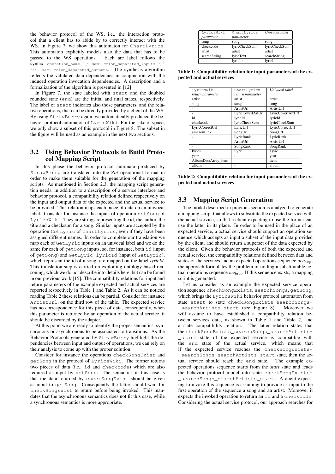the behavior protocol of the WS, i.e., the interaction protocol that a client has to abide by to correctly interact with the WS. In Figure 7, we show this automaton for ChartLyrics. This automaton explicitly models also the data that has to be passed to the WS operations. Each arc label follows the syntax: operation\_name '(' semi-colon\_separated\_inputs ')' ':' semi-colon\_separated\_outputs. The synthesis algorithm reflects the validated data dependencies in conjunction with the induced operation invocation dependencies. A description and a formalization of the algorithm is presented in [12].

In Figure 7, the state labeled with start and the doubled rounded state (end) are the initial and final states, respectively. The label of start indicates also those parameters, and the relative operations, that can be directly provided by a client of the WS. By using StrawBerry again, we automatically produced the behavior protocol automaton of LyricWiki. For the sake of space, we only show a subset of this protocol in Figure 8. The subset in the figure will be used as an example in the next two sections.

### 3.2 Using Behavior Protocols to Build Protocol Mapping Script

In this phase the behavior protocol automata produced by StrawBerry are translated into the *Zot* operational format in order to make them suitable for the generation of the mapping scripts. As mentioned in Section 2.3, the mapping script generation needs, in addition to a description of a service interface and behavior protocol, a compatibility relation defined respectively on the input and output data of the expected and the actual service to be provided. This relation maps each piece of data on an univocal label. Consider for instance the inputs of operation getSong of LyricsWiki. They are strings representing the id, the author, the title and a checksum for a song. Similar inputs are accepted by the operation GetLyric of ChartLyrics, even if they have been assigned different names. In order to complete our translation we map each of GetLyric inputs on an univocal label and we do the same for each of getSong inputs, so, for instance, both id (input of getSong) and GetLyric\_lyricId (input of GetLyric), which represent the id of a song, are mapped on the label *lyricId*. This translation step is carried on exploiting ontology-based reasoning, which we do not describe into details here, but can be found in our previous work [15]. The compatibility relations for input and return parameters of the example expected and actual services are reported respectively in Table 1 and Table 2. As it can be noticed reading Table 2 these relations can be partial. Consider for instance ArtistUrl, on the third row of the table. The expected service has no correspondence for this piece of data, consequently, when this parameter is returned by an operation of the actual service, it should be discarded by the adapter.

At this point we are ready to identify the proper semantics, synchronous or asynchronous to be associated to transitions. As the Behavior Protocols generated by StrawBerry highlight the dependencies between input and output of operations, we can rely on their analysis to come up with the proper solution.

Consider for instance the operations checkSongExist and getSong in the protocol of LyricsWiki. The former returns two pieces of data (i.e., id and checkcode) which are also required as input by getSong. The semantics in this case is that the data returned by checkSongExist should be given as input to getSong. Consequently the latter should wait for checkSongExist to return before being invoked. This mandates that the asynchronous semantics does not fit this case, while a synchronous semantics is more appropriate.

| LyricsWiki   | ChartLyrics   | Univocal label |
|--------------|---------------|----------------|
| parameter    | parameter     |                |
| song         | song          | song           |
| checkcode    | lyricCheckSum | lyricCheckSum  |
| artist       | artist        | artist         |
| searchString | lyricText     | searchString   |
| id           | lvricId       | lvricId        |

Table 1: Compatibility relation for input parameters of the expected and actual services

| LyricsWiki          | ChartLyrics       | Univocal label    |
|---------------------|-------------------|-------------------|
| return parameter    | return parameter  |                   |
| artist              | artist            | artist            |
| song                | song              | song              |
|                     | <b>ArtistUrl</b>  | ArtistUrl         |
|                     | LyricCovertArtUrl | LyricCovertArtUrl |
| id                  | lyricId           | lyricId           |
| checkcode           | lyricCheckSum     | lyricCheckSum     |
| LyricCorrectUrl     | LyricUrl          | LyricCorrectUrl   |
| amazonLink          | SongUrl           | SongUrl           |
|                     | LyricRank         | LyricRank         |
|                     | ArtistUrl         | ArtistUrl         |
|                     | SongRank          | SongRank          |
| lyrics              | Lyric             | Lyric             |
| year                |                   | year              |
| AlbumDataArray_item |                   | item              |
| album               | ۰                 | album             |

Table 2: Compatibility relation for input parameters of the expected and actual services

## 3.3 Mapping Script Generation

The model described in previous section is analyzed to generate a mapping script that allows to substitute the expected service with the actual service, so that a client expecting to use the former can use the latter in its place. In order to be used in the place of an expected service, a actual service should support an operation sequence which accepts as input a subset of the input data provided by the client, and should return a superset of the data expected by the client. Given the behavior protocols of both the expected and actual service, the compatibility relations defined between data and states of the services and an expected operations sequence  $seq_{exp}$ , the approach formulates the problem of finding a substitutable actual operations sequence  $seq_{act}$ . If this sequence exists, a mapping script is generated.

Let us consider as an example the expected service operation sequence checkSongExists, searchSongs, getSong, which brings the LyricsWiki behavior protocol automaton from state start to state checkSongExists\_searchSongs- \_searchArtists\_start (see Figure 8). Moreover we will assume to have established a compatibility relation between services data, as shown in Table 1 and Table 2, and a state compatibility relation. The latter relation states that the checkSongExists\_searchSongs\_searchArtists- \_start state of the expected service is compatible with the end state of the actual service, which means that if the expected service reaches the checkSongExists- \_searchSongs\_searchArtists\_start state, then the actual service should reach the end state. The example expected operations sequence starts from the *start* state and leads the behavior protocol model into state checkSongExists- \_searchSongs\_searchArtists\_start. A client expecting to invoke this sequence is assuming to provide as input to the first operation of the sequence a song and an artist. Moreover it expects the invoked operation to return an id and a checkcode. Considering the actual service protocol, our approach searches for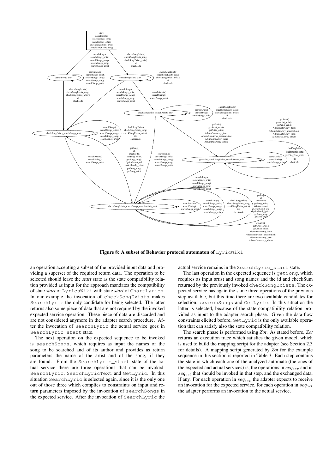

Figure 8: A subset of Behavior protocol automaton of LyricWiki

an operation accepting a subset of the provided input data and providing a superset of the required return data. The operation to be selected should leave the *start* state as the state compatibility relation provided as input for the approach mandates the compatibility of state *start* of LyricsWiki with state *start* of ChartLyrics. In our example the invocation of checkSongExists makes SearchLyric the only candidate for being selected. The latter returns also some piece of data that are not required by the invoked expected service operation. These piece of data are discarded and are not considered anymore in the adapter search procedure. After the invocation of SearchLyric the actual service goes in SearchLyric\_start state.

The next operation on the expected sequence to be invoked is searchSongs, which requires as input the names of the song to be searched and of its author and provides as return parameters the name of the artist and of the song, if they are found. From the SearchLyric\_start state of the actual service there are three operations that can be invoked: SearchLyric, SearchLyricText and GetLyric. In this situation SearchLyric is selected again, since it is the only one out of those three which complies to constraints on input and return parameters imposed by the invocation of searchSongs in the expected service. After the invocation of SearchLyric the

actual service remains in the SearchLyric\_start state.

The last operation in the expected sequence is get Song, which requires as input artist and song names and the id and checkSum returned by the previously invoked checkSongExists. The expected service has again the same three operations of the previous step available, but this time there are two available candidates for selection: searchSongs and GetLyric. In this situation the latter is selected, because of the state compatibility relation provided as input to the adapter search phase. Given the data-flow constraints elicited before, GetLyric is the only available operation that can satisfy also the state compatibility relation.

The search phase is performed using *Zot*. As stated before, *Zot* returns an execution trace which satisfies the given model, which is used to build the mapping script for the adapter (see Section 2.3 for details). A mapping script generated by *Zot* for the example sequence in this section is reported in Table 3. Each step contains the state in which each one of the analyzed automata (the ones of the expected and actual services) is, the operations in  $seq_{exp}$  and in  $seq_{act}$  that should be invoked in that step, and the exchanged data, if any. For each operation in  $seq_{exp}$  the adapter expects to receive an invocation for the expected service, for each operation in  $seq_{act}$ the adapter performs an invocation to the actual service.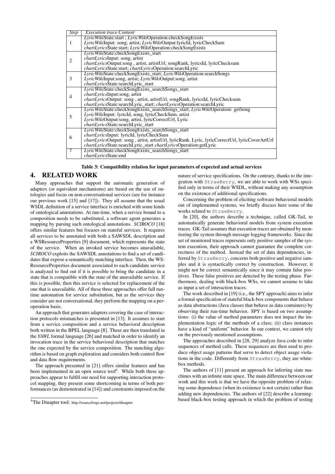| <b>Step</b> | <b>Execution trace Content</b>                                                                  |
|-------------|-------------------------------------------------------------------------------------------------|
|             | LyricWikiState:start; LyricWikiOperation:checkSongExists                                        |
| 1           | LyricWikiInput: song, artist; LyricWikiOutput:lyricId, lyricCheckSum                            |
|             | chartLyricsState:start; LyricWikiOperation:checkSongExists                                      |
|             | LyricWikiState:checkSongExists_start                                                            |
| 2           | <i>chartLyricsInput: song, artist</i>                                                           |
|             | chartLyricsOutput:song, artist, artistUrl, songRank, lyricsId, lyricChecksum                    |
|             | chartLyricsState:start; chartLyricsOperation:searchLyric                                        |
|             | LyricWikiState:checkSongExists_start; LyricWikiOperation:searchSongs                            |
| 3           | LyricWikiInput:song, artist; LyricWikiOutput:song, artist                                       |
|             | chartLyricsState:searchLyric_start                                                              |
|             | LyricWikiState:checkSongExists_searchSongs_start                                                |
| 4           | <i>chartLyricsInput:song, artist</i>                                                            |
|             | chartLyricsOutput: song, artist, artistUrl, songRank, lyricsId, lyricChecksum                   |
|             | <i>chartLyricsState:searchLyric_start; chartLyricsOperation:searchLyric</i>                     |
|             | LyricWikiState:checkSongExists_searchSongs_start; LyricWikiOperation: getSong                   |
| 5           | LyricWikiInput: lyricId, song, lyricCheckSum, artist                                            |
|             | LyricWikiOutput:song, artist, lyricCorrectUrl, Lyric                                            |
|             | <i>chartLyricsState:searchLyric start</i>                                                       |
|             | LyricWikiState:checkSongExists_searchSongs_start                                                |
| 6           | <i>chartLyricsInput: lyricId, lyricCheckSum</i>                                                 |
|             | chartLyricsOutput: song, artist, artistUrl, lyricRank, Lyric, lyricCorrectUrl, lyricCoverArtUrl |
|             | chartLyricsState:searchLyric_start chartLyricsOperation:getLyric                                |
| 7           | LyricWikiState:checkSongExists searchSongs start                                                |
|             | chartLyricsState:end                                                                            |

Table 3: Compatibility relation for input parameters of expected and actual services

#### 4. RELATED WORK

Many approaches that support the automatic generation of adapters (or equivalent mechanisms) are based on the use of ontologies and focus on non-conversational services (see for instance our previous work [15] and [17]). They all assume that the usual WSDL definition of a service interface is enriched with some kinds of ontological annotations. At run-time, when a service bound to a composition needs to be substituted, a software agent generates a mapping by parsing such ontological annotations. *SCIROCO* [18] offers similar features but focuses on stateful services. It requires all services to be annotated with both a SAWSDL description and a WSResourceProperties [9] document, which represents the state of the service. When an invoked service becomes unavailable, *SCIROCO* exploits the SAWSDL annotations to find a set of candidates that expose a semantically matching interface. Then, the WS-ResourceProperties document associated to each candidate service is analyzed to find out if it is possible to bring the candidate in a state that is compatible with the state of the unavailable service. If this is possible, then this service is selected for replacement of the one that is unavailable. All of these three approaches offer full runtime automation for service substitution, but as the services they consider are not conversational, they perform the mapping on a peroperation basis.

An approach that generates adapters covering the case of interaction protocols mismatches is presented in [13]. It assumes to start from a service composition and a service behavioral description both written in the BPEL language [8]. These are then translated in the *YAWL* formal language [26] and matched in order to identify an invocation trace in the service behavioral description that matches the one expected by the service composition. The matching algorithm is based on graph exploration and considers both control flow and data flow requirements.

The approach presented in [21] offers similar features and has been implemented in an open source tool<sup>6</sup>. While both these approaches appear to fulfill our need for supporting interaction protocol mapping, they present some shortcoming in terms of both performances (as demonstrated in [14]) and constraints imposed on the

nature of service specifications. On the contrary, thanks to the integration with StrawBerry, we are able to work with WSs specified only in terms of their WSDL, without making any assumption on the existence of additional specifications.

Concerning the problem of eliciting software behavioral models out of implemented systems, we briefly discuss here some of the works related to StrawBerry.

In [20], the authors describe a technique, called GK-Tail, to automatically generate behavioral models from system execution traces. GK-Tail assumes that execution traces are obtained by monitoring the system through message logging frameworks. Since the set of monitored traces represents only positive samples of the system execution, their approach cannot guarantee the complete correctness of the method. Instead the set of data dependencies, inferred by StrawBerry, concerns both positive and negative samples and it is syntactically correct by construction. However, it might not be correct semantically since it may contain false positives. These false positives are detected by the testing phase. Furthermore, dealing with black-box WSs, we cannot assume to take as input a set of interaction traces.

The work described in [19] (i.e., the SPY approach) aims to infer a formal specification of stateful black-box components that behave as data abstractions (Java classes that behave as data containers) by observing their run-time behavior. SPY is based on two assumptions: (i) the value of method parameters does not impact the implementation logic of the methods of a class; (ii) class instances have a kind of "uniform" behavior. In our context, we cannot rely on the previously mentioned assumptions.

The approaches described in [28, 29] analyze Java code to infer sequences of method calls. These sequences are then used to produce object usage patterns that serve to detect object usage violations in the code. Differently from StrawBerry, they are whitebox methods.

The authors of [11] present an approach for inferring state machines with an infinite state space. The main difference between our work and this work is that we have the opposite problem of relaxing some dependence (when its existence is not certain) rather than adding new dependencies. The authors of [22] describe a learningbased black-box testing approach in which the problem of testing

<sup>6</sup>The Dinapter tool: http://sourceforge.net/projects/dinapter